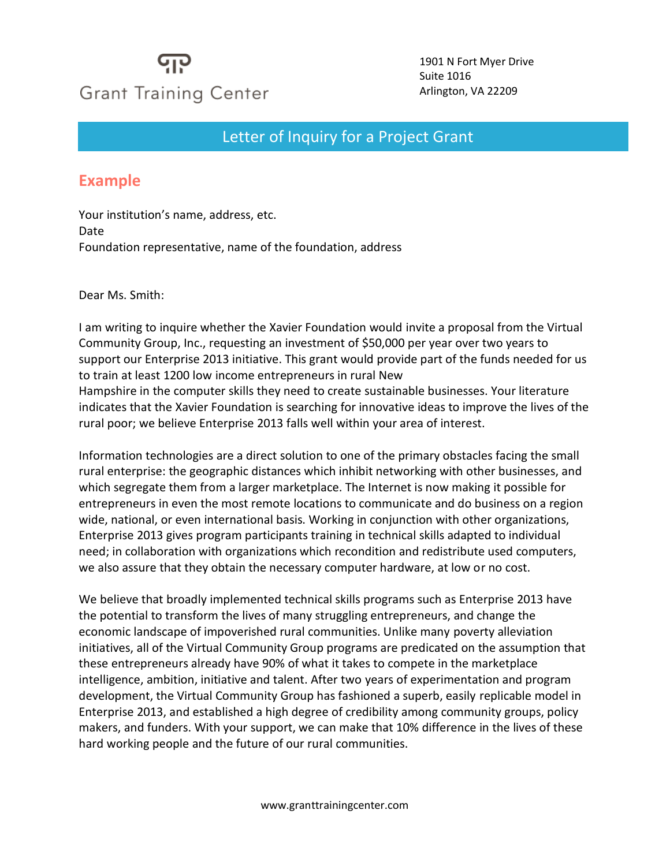## **Grant Training Center**

1901 N Fort Myer Drive Suite 1016 Arlington, VA 22209

## Letter of Inquiry for a Project Grant

## **Example**

Your institution's name, address, etc. Date Foundation representative, name of the foundation, address

Dear Ms. Smith:

I am writing to inquire whether the Xavier Foundation would invite a proposal from the Virtual Community Group, Inc., requesting an investment of \$50,000 per year over two years to support our Enterprise 2013 initiative. This grant would provide part of the funds needed for us to train at least 1200 low income entrepreneurs in rural New Hampshire in the computer skills they need to create sustainable businesses. Your literature indicates that the Xavier Foundation is searching for innovative ideas to improve the lives of the rural poor; we believe Enterprise 2013 falls well within your area of interest.

Information technologies are a direct solution to one of the primary obstacles facing the small rural enterprise: the geographic distances which inhibit networking with other businesses, and which segregate them from a larger marketplace. The Internet is now making it possible for entrepreneurs in even the most remote locations to communicate and do business on a region wide, national, or even international basis. Working in conjunction with other organizations, Enterprise 2013 gives program participants training in technical skills adapted to individual need; in collaboration with organizations which recondition and redistribute used computers, we also assure that they obtain the necessary computer hardware, at low or no cost.

We believe that broadly implemented technical skills programs such as Enterprise 2013 have the potential to transform the lives of many struggling entrepreneurs, and change the economic landscape of impoverished rural communities. Unlike many poverty alleviation initiatives, all of the Virtual Community Group programs are predicated on the assumption that these entrepreneurs already have 90% of what it takes to compete in the marketplace intelligence, ambition, initiative and talent. After two years of experimentation and program development, the Virtual Community Group has fashioned a superb, easily replicable model in Enterprise 2013, and established a high degree of credibility among community groups, policy makers, and funders. With your support, we can make that 10% difference in the lives of these hard working people and the future of our rural communities.